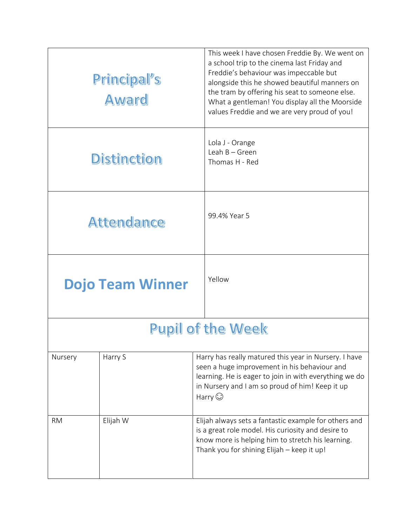| Principal's<br>Award    |          | This week I have chosen Freddie By. We went on<br>a school trip to the cinema last Friday and<br>Freddie's behaviour was impeccable but<br>alongside this he showed beautiful manners on<br>the tram by offering his seat to someone else.<br>What a gentleman! You display all the Moorside<br>values Freddie and we are very proud of you! |
|-------------------------|----------|----------------------------------------------------------------------------------------------------------------------------------------------------------------------------------------------------------------------------------------------------------------------------------------------------------------------------------------------|
| <b>Distinction</b>      |          | Lola J - Orange<br>Leah $B -$ Green<br>Thomas H - Red                                                                                                                                                                                                                                                                                        |
| <b>Attendance</b>       |          | 99.4% Year 5                                                                                                                                                                                                                                                                                                                                 |
| <b>Dojo Team Winner</b> |          | Yellow                                                                                                                                                                                                                                                                                                                                       |
|                         |          | <b>Pupil of the Week</b>                                                                                                                                                                                                                                                                                                                     |
| Nursery                 | Harry S  | Harry has really matured this year in Nursery. I have<br>seen a huge improvement in his behaviour and<br>learning. He is eager to join in with everything we do<br>in Nursery and I am so proud of him! Keep it up<br>Harry $\odot$                                                                                                          |
| <b>RM</b>               | Elijah W | Elijah always sets a fantastic example for others and<br>is a great role model. His curiosity and desire to<br>know more is helping him to stretch his learning.<br>Thank you for shining Elijah - keep it up!                                                                                                                               |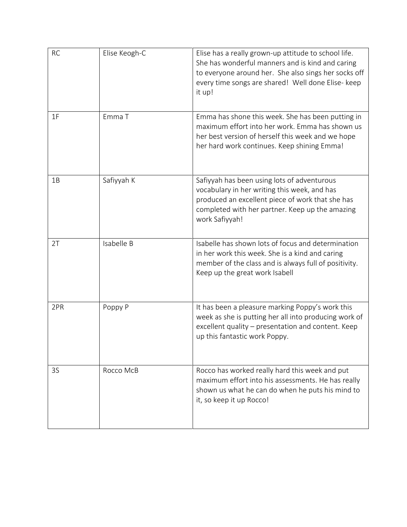| <b>RC</b> | Elise Keogh-C | Elise has a really grown-up attitude to school life.<br>She has wonderful manners and is kind and caring<br>to everyone around her. She also sings her socks off<br>every time songs are shared! Well done Elise- keep<br>it up! |
|-----------|---------------|----------------------------------------------------------------------------------------------------------------------------------------------------------------------------------------------------------------------------------|
| 1F        | Emma T        | Emma has shone this week. She has been putting in<br>maximum effort into her work. Emma has shown us<br>her best version of herself this week and we hope<br>her hard work continues. Keep shining Emma!                         |
| 1B        | Safiyyah K    | Safiyyah has been using lots of adventurous<br>vocabulary in her writing this week, and has<br>produced an excellent piece of work that she has<br>completed with her partner. Keep up the amazing<br>work Safiyyah!             |
| 2T        | Isabelle B    | Isabelle has shown lots of focus and determination<br>in her work this week. She is a kind and caring<br>member of the class and is always full of positivity.<br>Keep up the great work Isabell                                 |
| 2PR       | Poppy P       | It has been a pleasure marking Poppy's work this<br>week as she is putting her all into producing work of<br>excellent quality - presentation and content. Keep<br>up this fantastic work Poppy.                                 |
| 3S        | Rocco McB     | Rocco has worked really hard this week and put<br>maximum effort into his assessments. He has really<br>shown us what he can do when he puts his mind to<br>it, so keep it up Rocco!                                             |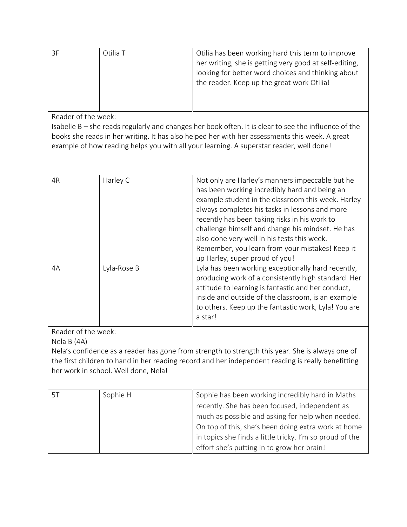| 3F | Otilia T | Otilia has been working hard this term to improve<br>her writing, she is getting very good at self-editing, |
|----|----------|-------------------------------------------------------------------------------------------------------------|
|    |          | looking for better word choices and thinking about                                                          |
|    |          | the reader. Keep up the great work Otilia!                                                                  |
|    |          |                                                                                                             |

Reader of the week:

Isabelle B – she reads regularly and changes her book often. It is clear to see the influence of the books she reads in her writing. It has also helped her with her assessments this week. A great example of how reading helps you with all your learning. A superstar reader, well done!

| 4R                                 | Harley C    | Not only are Harley's manners impeccable but he<br>has been working incredibly hard and being an<br>example student in the classroom this week. Harley<br>always completes his tasks in lessons and more<br>recently has been taking risks in his work to<br>challenge himself and change his mindset. He has<br>also done very well in his tests this week.<br>Remember, you learn from your mistakes! Keep it<br>up Harley, super proud of you! |
|------------------------------------|-------------|---------------------------------------------------------------------------------------------------------------------------------------------------------------------------------------------------------------------------------------------------------------------------------------------------------------------------------------------------------------------------------------------------------------------------------------------------|
| 4A                                 | Lyla-Rose B | Lyla has been working exceptionally hard recently,<br>producing work of a consistently high standard. Her<br>attitude to learning is fantastic and her conduct,<br>inside and outside of the classroom, is an example<br>to others. Keep up the fantastic work, Lyla! You are<br>a star!                                                                                                                                                          |
| Reader of the week:<br>Nela B (4A) |             | Nela's confidence as a reader has gone from strength to strength this year. She is always one of<br>the first children to hand in her reading record and her independent reading is really benefitting                                                                                                                                                                                                                                            |

|    | her work in school. Well done, Nela! |                                                                                                                                                                                                                                                                            |
|----|--------------------------------------|----------------------------------------------------------------------------------------------------------------------------------------------------------------------------------------------------------------------------------------------------------------------------|
| 5T | Sophie H                             | Sophie has been working incredibly hard in Maths<br>recently. She has been focused, independent as<br>much as possible and asking for help when needed.<br>On top of this, she's been doing extra work at home<br>in topics she finds a little tricky. I'm so proud of the |

effort she's putting in to grow her brain!